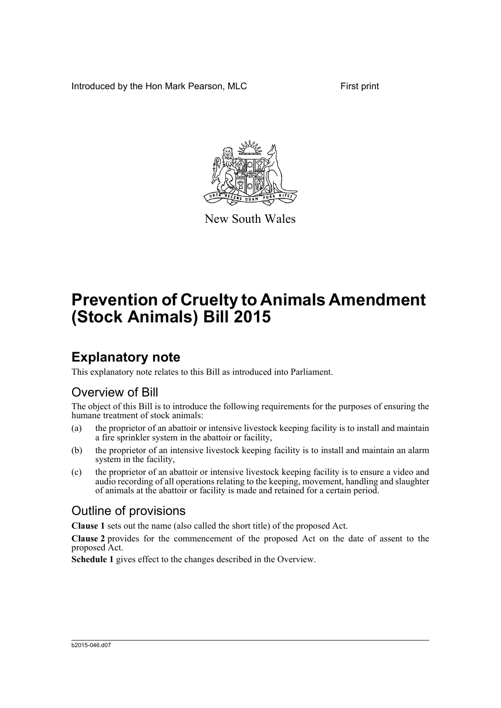Introduced by the Hon Mark Pearson, MLC First print



New South Wales

# **Prevention of Cruelty to Animals Amendment (Stock Animals) Bill 2015**

## **Explanatory note**

This explanatory note relates to this Bill as introduced into Parliament.

## Overview of Bill

The object of this Bill is to introduce the following requirements for the purposes of ensuring the humane treatment of stock animals:

- (a) the proprietor of an abattoir or intensive livestock keeping facility is to install and maintain a fire sprinkler system in the abattoir or facility,
- (b) the proprietor of an intensive livestock keeping facility is to install and maintain an alarm system in the facility,
- (c) the proprietor of an abattoir or intensive livestock keeping facility is to ensure a video and audio recording of all operations relating to the keeping, movement, handling and slaughter of animals at the abattoir or facility is made and retained for a certain period.

## Outline of provisions

**Clause 1** sets out the name (also called the short title) of the proposed Act.

**Clause 2** provides for the commencement of the proposed Act on the date of assent to the proposed Act.

**Schedule 1** gives effect to the changes described in the Overview.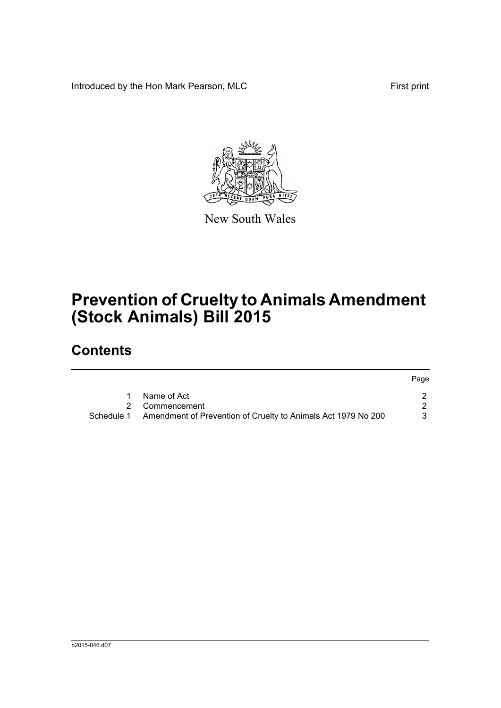Introduced by the Hon Mark Pearson, MLC First print

Page



New South Wales

# **Prevention of Cruelty to Animals Amendment (Stock Animals) Bill 2015**

## **Contents**

|            |                                                               | raye |
|------------|---------------------------------------------------------------|------|
|            | Name of Act                                                   |      |
|            | 2 Commencement                                                |      |
| Schedule 1 | Amendment of Prevention of Cruelty to Animals Act 1979 No 200 |      |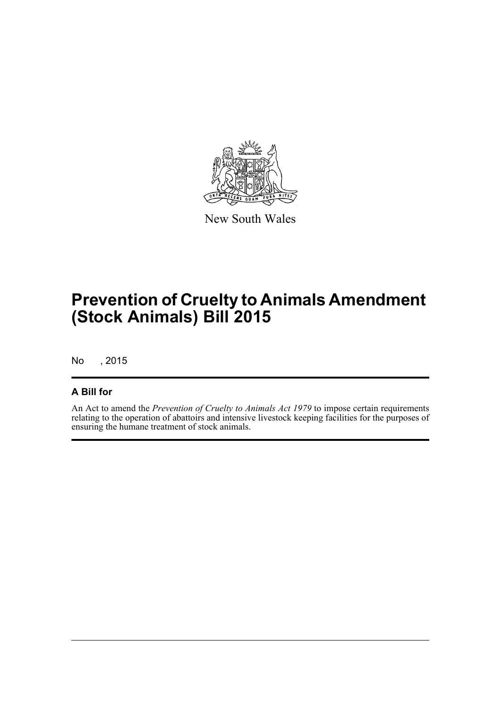

New South Wales

# **Prevention of Cruelty to Animals Amendment (Stock Animals) Bill 2015**

No , 2015

## **A Bill for**

An Act to amend the *Prevention of Cruelty to Animals Act 1979* to impose certain requirements relating to the operation of abattoirs and intensive livestock keeping facilities for the purposes of ensuring the humane treatment of stock animals.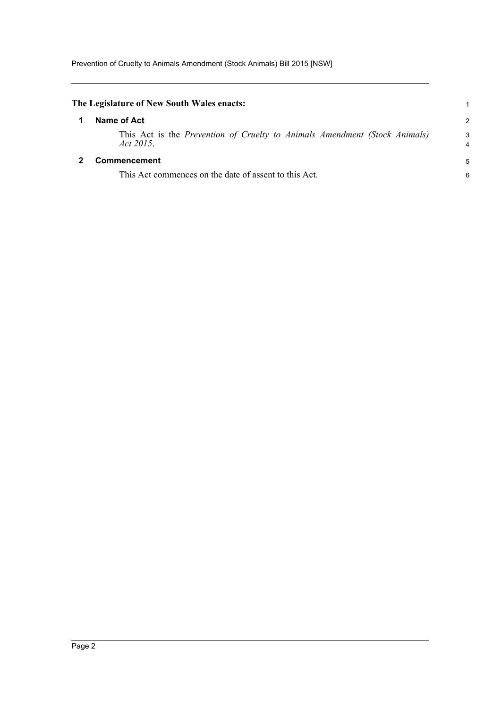<span id="page-3-1"></span><span id="page-3-0"></span>

| The Legislature of New South Wales enacts:                                              | 1             |
|-----------------------------------------------------------------------------------------|---------------|
| Name of Act                                                                             | $\mathcal{P}$ |
| This Act is the Prevention of Cruelty to Animals Amendment (Stock Animals)<br>Act 2015. | 3<br>4        |
| <b>Commencement</b>                                                                     | 5             |
| This Act commences on the date of assent to this Act.                                   | 6             |
|                                                                                         |               |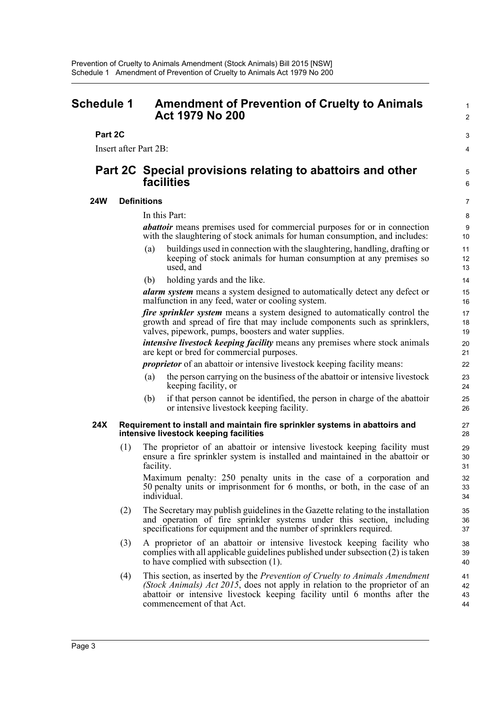## <span id="page-4-0"></span>**Schedule 1 Amendment of Prevention of Cruelty to Animals Act 1979 No 200**

### **Part 2C**

Insert after Part 2B:

## **Part 2C Special provisions relating to abattoirs and other facilities**

#### **24W Definitions**

In this Part:

*abattoir* means premises used for commercial purposes for or in connection with the slaughtering of stock animals for human consumption, and includes:

1  $\mathcal{L}$ 

3 4

5 6

- (a) buildings used in connection with the slaughtering, handling, drafting or keeping of stock animals for human consumption at any premises so used, and
- (b) holding yards and the like.

*alarm system* means a system designed to automatically detect any defect or malfunction in any feed, water or cooling system.

*fire sprinkler system* means a system designed to automatically control the growth and spread of fire that may include components such as sprinklers, valves, pipework, pumps, boosters and water supplies.

*intensive livestock keeping facility* means any premises where stock animals are kept or bred for commercial purposes.

*proprietor* of an abattoir or intensive livestock keeping facility means:

- (a) the person carrying on the business of the abattoir or intensive livestock keeping facility, or
- (b) if that person cannot be identified, the person in charge of the abattoir or intensive livestock keeping facility.

#### **24X Requirement to install and maintain fire sprinkler systems in abattoirs and intensive livestock keeping facilities**

(1) The proprietor of an abattoir or intensive livestock keeping facility must ensure a fire sprinkler system is installed and maintained in the abattoir or facility.

Maximum penalty: 250 penalty units in the case of a corporation and 50 penalty units or imprisonment for 6 months, or both, in the case of an individual.

- (2) The Secretary may publish guidelines in the Gazette relating to the installation and operation of fire sprinkler systems under this section, including specifications for equipment and the number of sprinklers required.
- (3) A proprietor of an abattoir or intensive livestock keeping facility who complies with all applicable guidelines published under subsection (2) is taken to have complied with subsection (1).
- (4) This section, as inserted by the *Prevention of Cruelty to Animals Amendment (Stock Animals) Act 2015*, does not apply in relation to the proprietor of an abattoir or intensive livestock keeping facility until 6 months after the commencement of that Act.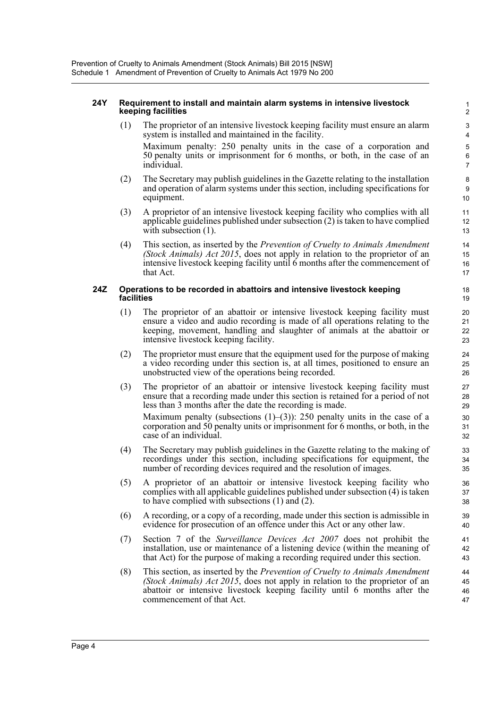#### **24Y Requirement to install and maintain alarm systems in intensive livestock keeping facilities**

(1) The proprietor of an intensive livestock keeping facility must ensure an alarm system is installed and maintained in the facility. Maximum penalty: 250 penalty units in the case of a corporation and 50 penalty units or imprisonment for 6 months, or both, in the case of an individual.

- (2) The Secretary may publish guidelines in the Gazette relating to the installation and operation of alarm systems under this section, including specifications for equipment.
- (3) A proprietor of an intensive livestock keeping facility who complies with all applicable guidelines published under subsection (2) is taken to have complied with subsection  $(1)$ .
- (4) This section, as inserted by the *Prevention of Cruelty to Animals Amendment (Stock Animals) Act 2015*, does not apply in relation to the proprietor of an intensive livestock keeping facility until 6 months after the commencement of that Act.

#### **24Z Operations to be recorded in abattoirs and intensive livestock keeping facilities**

- (1) The proprietor of an abattoir or intensive livestock keeping facility must ensure a video and audio recording is made of all operations relating to the keeping, movement, handling and slaughter of animals at the abattoir or intensive livestock keeping facility.
- (2) The proprietor must ensure that the equipment used for the purpose of making a video recording under this section is, at all times, positioned to ensure an unobstructed view of the operations being recorded.
- (3) The proprietor of an abattoir or intensive livestock keeping facility must ensure that a recording made under this section is retained for a period of not less than 3 months after the date the recording is made.

Maximum penalty (subsections  $(1)$ – $(3)$ ): 250 penalty units in the case of a corporation and 50 penalty units or imprisonment for 6 months, or both, in the case of an individual.

- (4) The Secretary may publish guidelines in the Gazette relating to the making of recordings under this section, including specifications for equipment, the number of recording devices required and the resolution of images.
- (5) A proprietor of an abattoir or intensive livestock keeping facility who complies with all applicable guidelines published under subsection (4) is taken to have complied with subsections (1) and (2).
- (6) A recording, or a copy of a recording, made under this section is admissible in evidence for prosecution of an offence under this Act or any other law.
- (7) Section 7 of the *Surveillance Devices Act 2007* does not prohibit the installation, use or maintenance of a listening device (within the meaning of that Act) for the purpose of making a recording required under this section.
- (8) This section, as inserted by the *Prevention of Cruelty to Animals Amendment (Stock Animals) Act 2015*, does not apply in relation to the proprietor of an abattoir or intensive livestock keeping facility until 6 months after the commencement of that Act.